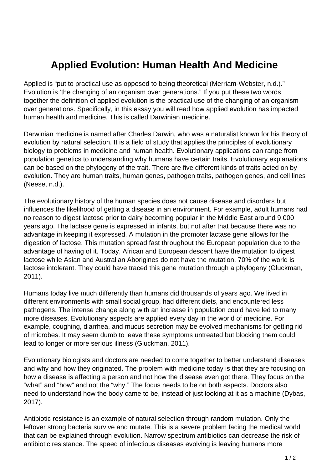## **Applied Evolution: Human Health And Medicine**

Applied is "put to practical use as opposed to being theoretical (Merriam-Webster, n.d.)." Evolution is 'the changing of an organism over generations." If you put these two words together the definition of applied evolution is the practical use of the changing of an organism over generations. Specifically, in this essay you will read how applied evolution has impacted human health and medicine. This is called Darwinian medicine.

Darwinian medicine is named after Charles Darwin, who was a naturalist known for his theory of evolution by natural selection. It is a field of study that applies the principles of evolutionary biology to problems in medicine and human health. Evolutionary applications can range from population genetics to understanding why humans have certain traits. Evolutionary explanations can be based on the phylogeny of the trait. There are five different kinds of traits acted on by evolution. They are human traits, human genes, pathogen traits, pathogen genes, and cell lines (Neese, n.d.).

The evolutionary history of the human species does not cause disease and disorders but influences the likelihood of getting a disease in an environment. For example, adult humans had no reason to digest lactose prior to dairy becoming popular in the Middle East around 9,000 years ago. The lactase gene is expressed in infants, but not after that because there was no advantage in keeping it expressed. A mutation in the promoter lactase gene allows for the digestion of lactose. This mutation spread fast throughout the European population due to the advantage of having of it. Today, African and European descent have the mutation to digest lactose while Asian and Australian Aborigines do not have the mutation. 70% of the world is lactose intolerant. They could have traced this gene mutation through a phylogeny (Gluckman, 2011).

Humans today live much differently than humans did thousands of years ago. We lived in different environments with small social group, had different diets, and encountered less pathogens. The intense change along with an increase in population could have led to many more diseases. Evolutionary aspects are applied every day in the world of medicine. For example, coughing, diarrhea, and mucus secretion may be evolved mechanisms for getting rid of microbes. It may seem dumb to leave these symptoms untreated but blocking them could lead to longer or more serious illness (Gluckman, 2011).

Evolutionary biologists and doctors are needed to come together to better understand diseases and why and how they originated. The problem with medicine today is that they are focusing on how a disease is affecting a person and not how the disease even got there. They focus on the "what" and "how" and not the "why." The focus needs to be on both aspects. Doctors also need to understand how the body came to be, instead of just looking at it as a machine (Dybas, 2017).

Antibiotic resistance is an example of natural selection through random mutation. Only the leftover strong bacteria survive and mutate. This is a severe problem facing the medical world that can be explained through evolution. Narrow spectrum antibiotics can decrease the risk of antibiotic resistance. The speed of infectious diseases evolving is leaving humans more